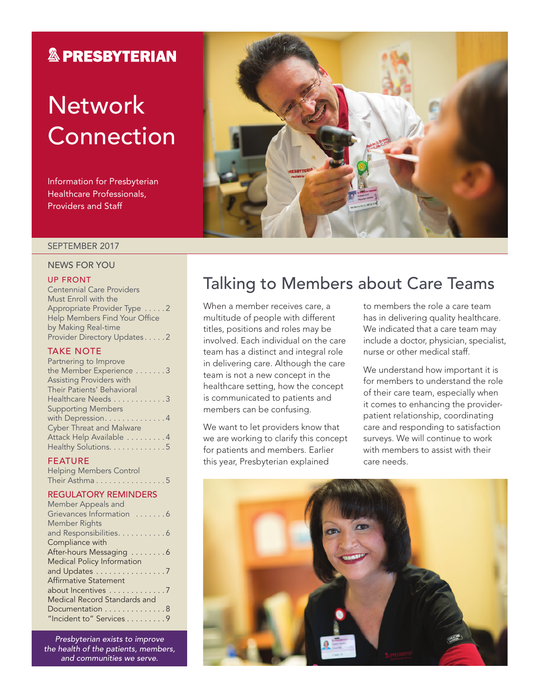### **& PRESBYTERIAN**

# **Network Connection**

Information for Presbyterian Healthcare Professionals, Providers and Staff

#### SEPTEMBER 2017

#### NEWS FOR YOU

#### UP FRONT

Centennial Care Providers Must Enroll with the Appropriate Provider Type . . . . . 2 Help Members Find Your Office by Making Real-time Provider Directory Updates . . . . . 2

### TAKE NOTE

| Partnering to Improve           |
|---------------------------------|
| the Member Experience 3         |
| <b>Assisting Providers with</b> |
| Their Patients' Behavioral      |
| Healthcare Needs 3              |
| <b>Supporting Members</b>       |
| with Depression. 4              |
| <b>Cyber Threat and Malware</b> |
| Attack Help Available 4         |
| Healthy Solutions. 5            |
|                                 |

### FEATURE

Helping Members Control Their Asthma . . . . . . . . . . . . . . . 5

### REGULATORY REMINDERS

| Member Appeals and                |
|-----------------------------------|
| Grievances Information 6          |
| Member Rights                     |
| and Responsibilities. 6           |
| Compliance with                   |
| After-hours Messaging 6           |
| <b>Medical Policy Information</b> |
| and Updates 7                     |
| Affirmative Statement             |
| about Incentives 7                |
| Medical Record Standards and      |
| Documentation 8                   |
| "Incident to" Services 9          |
|                                   |

*Presbyterian exists to improve the health of the patients, members, and communities we serve.*



### Talking to Members about Care Teams

When a member receives care, a multitude of people with different titles, positions and roles may be involved. Each individual on the care team has a distinct and integral role in delivering care. Although the care team is not a new concept in the healthcare setting, how the concept is communicated to patients and members can be confusing.

We want to let providers know that we are working to clarify this concept for patients and members. Earlier this year, Presbyterian explained

to members the role a care team has in delivering quality healthcare. We indicated that a care team may include a doctor, physician, specialist, nurse or other medical staff.

We understand how important it is for members to understand the role of their care team, especially when it comes to enhancing the providerpatient relationship, coordinating care and responding to satisfaction surveys. We will continue to work with members to assist with their care needs.

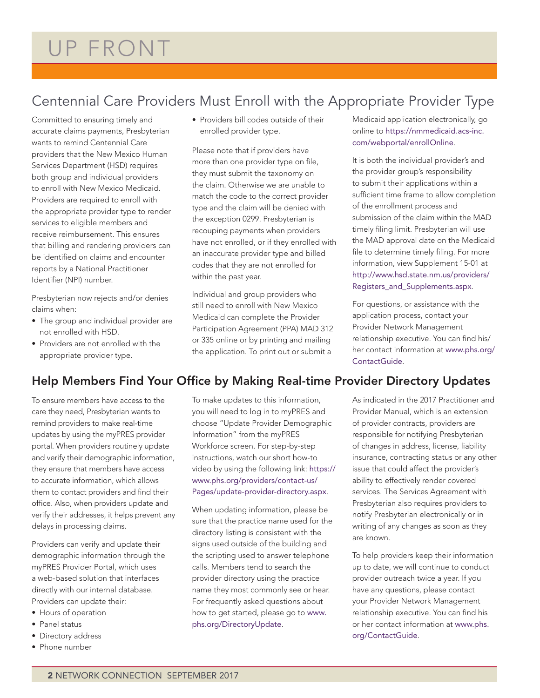### Centennial Care Providers Must Enroll with the Appropriate Provider Type

Committed to ensuring timely and accurate claims payments, Presbyterian wants to remind Centennial Care providers that the New Mexico Human Services Department (HSD) requires both group and individual providers to enroll with New Mexico Medicaid. Providers are required to enroll with the appropriate provider type to render services to eligible members and receive reimbursement. This ensures that billing and rendering providers can be identified on claims and encounter reports by a National Practitioner Identifier (NPI) number.

Presbyterian now rejects and/or denies claims when:

- The group and individual provider are not enrolled with HSD.
- Providers are not enrolled with the appropriate provider type.

• Providers bill codes outside of their enrolled provider type.

Please note that if providers have more than one provider type on file, they must submit the taxonomy on the claim. Otherwise we are unable to match the code to the correct provider type and the claim will be denied with the exception 0299. Presbyterian is recouping payments when providers have not enrolled, or if they enrolled with an inaccurate provider type and billed codes that they are not enrolled for within the past year.

Individual and group providers who still need to enroll with New Mexico Medicaid can complete the Provider Participation Agreement (PPA) MAD 312 or 335 online or by printing and mailing the application. To print out or submit a

Medicaid application electronically, go online to https://nmmedicaid.acs-inc. com/webportal/enrollOnline.

It is both the individual provider's and the provider group's responsibility to submit their applications within a sufficient time frame to allow completion of the enrollment process and submission of the claim within the MAD timely filing limit. Presbyterian will use the MAD approval date on the Medicaid file to determine timely filing. For more information, view Supplement 15-01 at http://www.hsd.state.nm.us/providers/ Registers\_and\_Supplements.aspx.

For questions, or assistance with the application process, contact your Provider Network Management relationship executive. You can find his/ her contact information at www.phs.org/ ContactGuide.

### Help Members Find Your Office by Making Real-time Provider Directory Updates

To ensure members have access to the care they need, Presbyterian wants to remind providers to make real-time updates by using the myPRES provider portal. When providers routinely update and verify their demographic information, they ensure that members have access to accurate information, which allows them to contact providers and find their office. Also, when providers update and verify their addresses, it helps prevent any delays in processing claims.

Providers can verify and update their demographic information through the myPRES Provider Portal, which uses a web-based solution that interfaces directly with our internal database. Providers can update their:

- Hours of operation
- Panel status
- Directory address
- Phone number

To make updates to this information, you will need to log in to myPRES and choose "Update Provider Demographic Information" from the myPRES Workforce screen. For step-by-step instructions, watch our short how-to video by using the following link: https:// www.phs.org/providers/contact-us/ Pages/update-provider-directory.aspx.

When updating information, please be sure that the practice name used for the directory listing is consistent with the signs used outside of the building and the scripting used to answer telephone calls. Members tend to search the provider directory using the practice name they most commonly see or hear. For frequently asked questions about how to get started, please go to www. phs.org/DirectoryUpdate.

As indicated in the 2017 Practitioner and Provider Manual, which is an extension of provider contracts, providers are responsible for notifying Presbyterian of changes in address, license, liability insurance, contracting status or any other issue that could affect the provider's ability to effectively render covered services. The Services Agreement with Presbyterian also requires providers to notify Presbyterian electronically or in writing of any changes as soon as they are known.

To help providers keep their information up to date, we will continue to conduct provider outreach twice a year. If you have any questions, please contact your Provider Network Management relationship executive. You can find his or her contact information at www.phs. org/ContactGuide.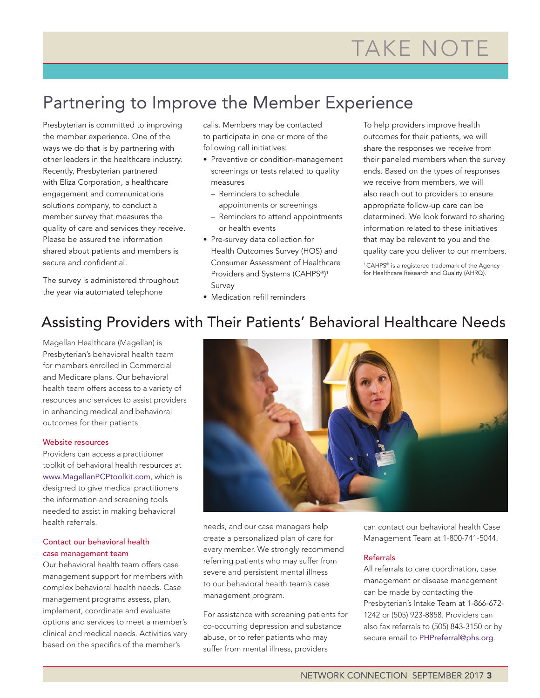## Partnering to Improve the Member Experience

Presbyterian is committed to improving the member experience. One of the ways we do that is by partnering with other leaders in the healthcare industry. Recently, Presbyterian partnered with Eliza Corporation, a healthcare engagement and communications solutions company, to conduct a member survey that measures the quality of care and services they receive. Please be assured the information shared about patients and members is secure and confidential.

The survey is administered throughout the year via automated telephone

calls. Members may be contacted to participate in one or more of the following call initiatives:

- Preventive or condition-management screenings or tests related to quality measures
	- Reminders to schedule appointments or screenings
	- Reminders to attend appointments or health events
- Pre-survey data collection for Health Outcomes Survey (HOS) and Consumer Assessment of Healthcare Providers and Systems (CAHPS®) 1 Survey
- Medication refill reminders

To help providers improve health outcomes for their patients, we will share the responses we receive from their paneled members when the survey ends. Based on the types of responses we receive from members, we will also reach out to providers to ensure appropriate follow-up care can be determined. We look forward to sharing information related to these initiatives that may be relevant to you and the quality care you deliver to our members.

<sup>1</sup> CAHPS® is a registered trademark of the Agency for Healthcare Research and Quality (AHRQ).

### Assisting Providers with Their Patients' Behavioral Healthcare Needs

Magellan Healthcare (Magellan) is Presbyterian's behavioral health team for members enrolled in Commercial and Medicare plans. Our behavioral health team offers access to a variety of resources and services to assist providers in enhancing medical and behavioral outcomes for their patients.

#### Website resources

Providers can access a practitioner toolkit of behavioral health resources at www.MagellanPCPtoolkit.com, which is designed to give medical practitioners the information and screening tools needed to assist in making behavioral health referrals.

#### Contact our behavioral health case management team

Our behavioral health team offers case management support for members with complex behavioral health needs. Case management programs assess, plan, implement, coordinate and evaluate options and services to meet a member's clinical and medical needs. Activities vary based on the specifics of the member's



needs, and our case managers help create a personalized plan of care for every member. We strongly recommend referring patients who may suffer from severe and persistent mental illness to our behavioral health team's case management program.

For assistance with screening patients for co-occurring depression and substance abuse, or to refer patients who may suffer from mental illness, providers

can contact our behavioral health Case Management Team at 1-800-741-5044.

#### Referrals

All referrals to care coordination, case management or disease management can be made by contacting the Presbyterian's Intake Team at 1-866-672- 1242 or (505) 923-8858. Providers can also fax referrals to (505) 843-3150 or by secure email to [PHPreferral@phs.org](mailto:PHPreferral%40phs.org?subject=).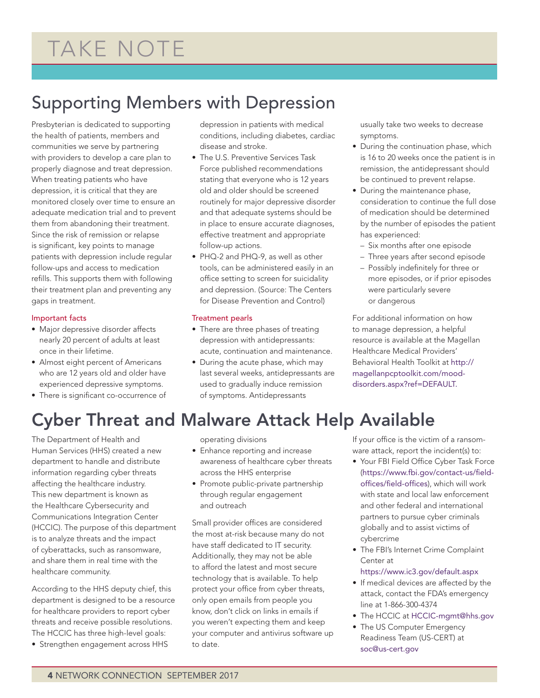# TAKE NOTE

## Supporting Members with Depression

Presbyterian is dedicated to supporting the health of patients, members and communities we serve by partnering with providers to develop a care plan to properly diagnose and treat depression. When treating patients who have depression, it is critical that they are monitored closely over time to ensure an adequate medication trial and to prevent them from abandoning their treatment. Since the risk of remission or relapse is significant, key points to manage patients with depression include regular follow-ups and access to medication refills. This supports them with following their treatment plan and preventing any gaps in treatment.

#### Important facts

- Major depressive disorder affects nearly 20 percent of adults at least once in their lifetime.
- Almost eight percent of Americans who are 12 years old and older have experienced depressive symptoms.
- There is significant co-occurrence of

depression in patients with medical conditions, including diabetes, cardiac disease and stroke.

- The U.S. Preventive Services Task Force published recommendations stating that everyone who is 12 years old and older should be screened routinely for major depressive disorder and that adequate systems should be in place to ensure accurate diagnoses, effective treatment and appropriate follow-up actions.
- PHQ-2 and PHQ-9, as well as other tools, can be administered easily in an office setting to screen for suicidality and depression. (Source: The Centers for Disease Prevention and Control)

### Treatment pearls

- There are three phases of treating depression with antidepressants: acute, continuation and maintenance.
- During the acute phase, which may last several weeks, antidepressants are used to gradually induce remission of symptoms. Antidepressants

usually take two weeks to decrease symptoms.

- During the continuation phase, which is 16 to 20 weeks once the patient is in remission, the antidepressant should be continued to prevent relapse.
- During the maintenance phase, consideration to continue the full dose of medication should be determined by the number of episodes the patient has experienced:
	- Six months after one episode
	- Three years after second episode
	- Possibly indefinitely for three or more episodes, or if prior episodes were particularly severe or dangerous

For additional information on how to manage depression, a helpful resource is available at the Magellan Healthcare Medical Providers' Behavioral Health Toolkit at http:// magellanpcptoolkit.com/mooddisorders.aspx?ref=DEFAULT.

## Cyber Threat and Malware Attack Help Available

The Department of Health and Human Services (HHS) created a new department to handle and distribute information regarding cyber threats affecting the healthcare industry. This new department is known as the Healthcare Cybersecurity and Communications Integration Center (HCCIC). The purpose of this department is to analyze threats and the impact of cyberattacks, such as ransomware, and share them in real time with the healthcare community.

According to the HHS deputy chief, this department is designed to be a resource for healthcare providers to report cyber threats and receive possible resolutions. The HCCIC has three high-level goals:

• Strengthen engagement across HHS

operating divisions

- Enhance reporting and increase awareness of healthcare cyber threats across the HHS enterprise
- Promote public-private partnership through regular engagement and outreach

Small provider offices are considered the most at-risk because many do not have staff dedicated to IT security. Additionally, they may not be able to afford the latest and most secure technology that is available. To help protect your office from cyber threats, only open emails from people you know, don't click on links in emails if you weren't expecting them and keep your computer and antivirus software up to date.

If your office is the victim of a ransomware attack, report the incident(s) to:

- Your FBI Field Office Cyber Task Force (https://www.fbi.gov/contact-us/fieldoffices/field-offices), which will work with state and local law enforcement and other federal and international partners to pursue cyber criminals globally and to assist victims of cybercrime
- The FBI's Internet Crime Complaint Center at
	- https://www.ic3.gov/default.aspx
- If medical devices are affected by the attack, contact the FDA's emergency line at 1-866-300-4374
- The HCCIC at HCCIC-mgmt@hhs.gov
- The US Computer Emergency Readiness Team (US-CERT) at soc@us-cert.gov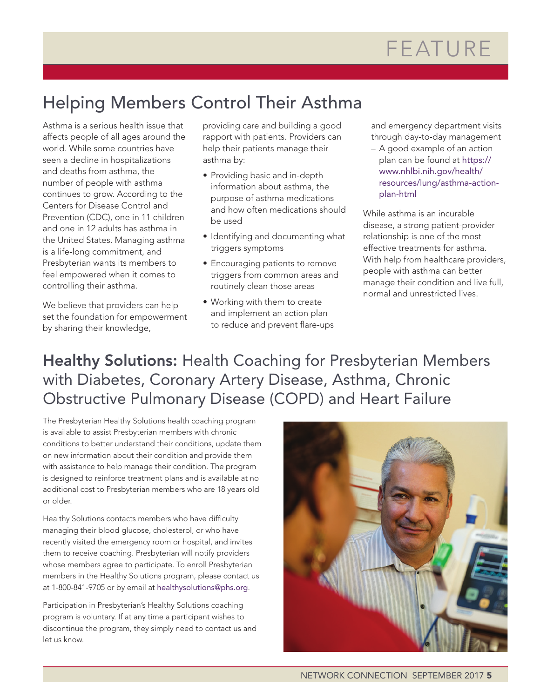## Helping Members Control Their Asthma

Asthma is a serious health issue that affects people of all ages around the world. While some countries have seen a decline in hospitalizations and deaths from asthma, the number of people with asthma continues to grow. According to the Centers for Disease Control and Prevention (CDC), one in 11 children and one in 12 adults has asthma in the United States. Managing asthma is a life-long commitment, and Presbyterian wants its members to feel empowered when it comes to controlling their asthma.

We believe that providers can help set the foundation for empowerment by sharing their knowledge,

providing care and building a good rapport with patients. Providers can help their patients manage their asthma by:

- Providing basic and in-depth information about asthma, the purpose of asthma medications and how often medications should be used
- Identifying and documenting what triggers symptoms
- Encouraging patients to remove triggers from common areas and routinely clean those areas
- Working with them to create and implement an action plan to reduce and prevent flare-ups

and emergency department visits through day-to-day management

– A good example of an action plan can be found at https:// www.nhlbi.nih.gov/health/ resources/lung/asthma-actionplan-html

While asthma is an incurable disease, a strong patient-provider relationship is one of the most effective treatments for asthma. With help from healthcare providers, people with asthma can better manage their condition and live full, normal and unrestricted lives.

Healthy Solutions: Health Coaching for Presbyterian Members with Diabetes, Coronary Artery Disease, Asthma, Chronic Obstructive Pulmonary Disease (COPD) and Heart Failure

The Presbyterian Healthy Solutions health coaching program is available to assist Presbyterian members with chronic conditions to better understand their conditions, update them on new information about their condition and provide them with assistance to help manage their condition. The program is designed to reinforce treatment plans and is available at no additional cost to Presbyterian members who are 18 years old or older.

Healthy Solutions contacts members who have difficulty managing their blood glucose, cholesterol, or who have recently visited the emergency room or hospital, and invites them to receive coaching. Presbyterian will notify providers whose members agree to participate. To enroll Presbyterian members in the Healthy Solutions program, please contact us at 1-800-841-9705 or by email at healthysolutions@phs.org.

Participation in Presbyterian's Healthy Solutions coaching program is voluntary. If at any time a participant wishes to discontinue the program, they simply need to contact us and let us know.

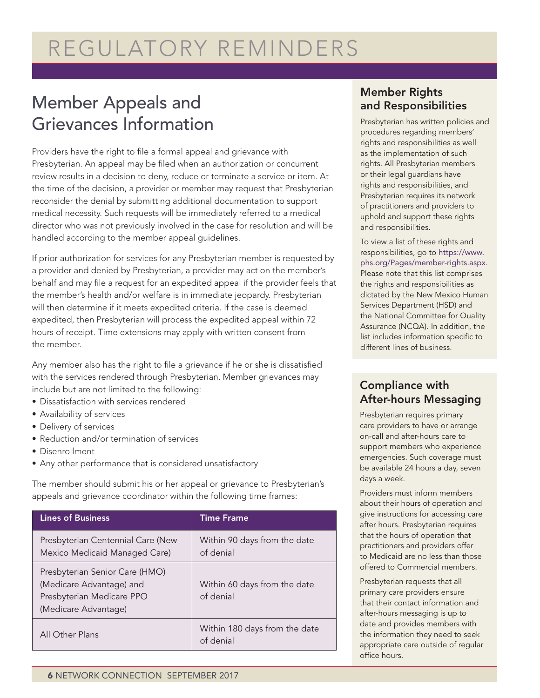# REGULATORY REMINDERS

### Member Appeals and Grievances Information

Providers have the right to file a formal appeal and grievance with Presbyterian. An appeal may be filed when an authorization or concurrent review results in a decision to deny, reduce or terminate a service or item. At the time of the decision, a provider or member may request that Presbyterian reconsider the denial by submitting additional documentation to support medical necessity. Such requests will be immediately referred to a medical director who was not previously involved in the case for resolution and will be handled according to the member appeal guidelines.

If prior authorization for services for any Presbyterian member is requested by a provider and denied by Presbyterian, a provider may act on the member's behalf and may file a request for an expedited appeal if the provider feels that the member's health and/or welfare is in immediate jeopardy. Presbyterian will then determine if it meets expedited criteria. If the case is deemed expedited, then Presbyterian will process the expedited appeal within 72 hours of receipt. Time extensions may apply with written consent from the member.

Any member also has the right to file a grievance if he or she is dissatisfied with the services rendered through Presbyterian. Member grievances may include but are not limited to the following:

- Dissatisfaction with services rendered
- Availability of services
- Delivery of services
- Reduction and/or termination of services
- Disenrollment
- Any other performance that is considered unsatisfactory

The member should submit his or her appeal or grievance to Presbyterian's appeals and grievance coordinator within the following time frames:

| <b>Lines of Business</b>                                                                                        | <b>Time Frame</b>                          |
|-----------------------------------------------------------------------------------------------------------------|--------------------------------------------|
| Presbyterian Centennial Care (New<br>Mexico Medicaid Managed Care)                                              | Within 90 days from the date<br>of denial  |
| Presbyterian Senior Care (HMO)<br>(Medicare Advantage) and<br>Presbyterian Medicare PPO<br>(Medicare Advantage) | Within 60 days from the date<br>of denial  |
| All Other Plans                                                                                                 | Within 180 days from the date<br>of denial |

### Member Rights and Responsibilities

Presbyterian has written policies and procedures regarding members' rights and responsibilities as well as the implementation of such rights. All Presbyterian members or their legal guardians have rights and responsibilities, and Presbyterian requires its network of practitioners and providers to uphold and support these rights and responsibilities.

To view a list of these rights and responsibilities, go to https://www. phs.org/Pages/member-rights.aspx. Please note that this list comprises the rights and responsibilities as dictated by the New Mexico Human Services Department (HSD) and the National Committee for Quality Assurance (NCQA). In addition, the list includes information specific to different lines of business.

### Compliance with After-hours Messaging

Presbyterian requires primary care providers to have or arrange on-call and after-hours care to support members who experience emergencies. Such coverage must be available 24 hours a day, seven days a week.

Providers must inform members about their hours of operation and give instructions for accessing care after hours. Presbyterian requires that the hours of operation that practitioners and providers offer to Medicaid are no less than those offered to Commercial members.

Presbyterian requests that all primary care providers ensure that their contact information and after-hours messaging is up to date and provides members with the information they need to seek appropriate care outside of regular office hours.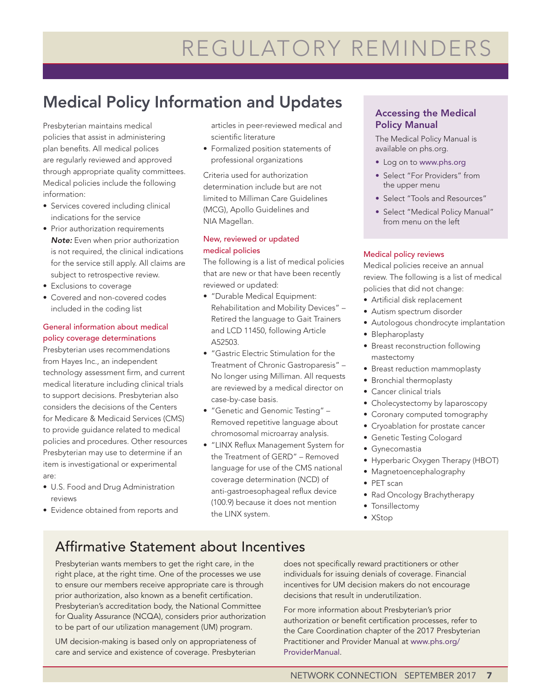# REGULATORY REMINDERS

### Medical Policy Information and Updates

Presbyterian maintains medical policies that assist in administering plan benefits. All medical polices are regularly reviewed and approved through appropriate quality committees. Medical policies include the following information:

- Services covered including clinical indications for the service
- Prior authorization requirements *Note:* Even when prior authorization is not required, the clinical indications for the service still apply. All claims are subject to retrospective review.
- Exclusions to coverage
- Covered and non-covered codes included in the coding list

### General information about medical policy coverage determinations

Presbyterian uses recommendations from Hayes Inc., an independent technology assessment firm, and current medical literature including clinical trials to support decisions. Presbyterian also considers the decisions of the Centers for Medicare & Medicaid Services (CMS) to provide guidance related to medical policies and procedures. Other resources Presbyterian may use to determine if an item is investigational or experimental are:

- U.S. Food and Drug Administration reviews
- Evidence obtained from reports and

articles in peer-reviewed medical and scientific literature

• Formalized position statements of professional organizations

Criteria used for authorization determination include but are not limited to Milliman Care Guidelines (MCG), Apollo Guidelines and NIA Magellan.

#### New, reviewed or updated medical policies

The following is a list of medical policies that are new or that have been recently reviewed or updated:

- "Durable Medical Equipment: Rehabilitation and Mobility Devices" – Retired the language to Gait Trainers and LCD 11450, following Article A52503.
- "Gastric Electric Stimulation for the Treatment of Chronic Gastroparesis" – No longer using Milliman. All requests are reviewed by a medical director on case-by-case basis.
- "Genetic and Genomic Testing" Removed repetitive language about chromosomal microarray analysis.
- "LINX Reflux Management System for the Treatment of GERD" – Removed language for use of the CMS national coverage determination (NCD) of anti-gastroesophageal reflux device (100.9) because it does not mention the LINX system.

### Accessing the Medical Policy Manual

The Medical Policy Manual is available on phs.org.

- Log on to www.phs.org
- Select "For Providers" from the upper menu
- Select "Tools and Resources"
- Select "Medical Policy Manual" from menu on the left

### Medical policy reviews

Medical policies receive an annual review. The following is a list of medical policies that did not change:

- Artificial disk replacement
- Autism spectrum disorder
- Autologous chondrocyte implantation
- Blepharoplasty
- Breast reconstruction following mastectomy
- Breast reduction mammoplasty
- Bronchial thermoplasty
- Cancer clinical trials
- Cholecystectomy by laparoscopy
- Coronary computed tomography
- Cryoablation for prostate cancer
- Genetic Testing Cologard
- Gynecomastia
- Hyperbaric Oxygen Therapy (HBOT)
- Magnetoencephalography
- PET scan
- Rad Oncology Brachytherapy
- Tonsillectomy
- XStop

### Affirmative Statement about Incentives

Presbyterian wants members to get the right care, in the right place, at the right time. One of the processes we use to ensure our members receive appropriate care is through prior authorization, also known as a benefit certification. Presbyterian's accreditation body, the National Committee for Quality Assurance (NCQA), considers prior authorization to be part of our utilization management (UM) program.

UM decision-making is based only on appropriateness of care and service and existence of coverage. Presbyterian

does not specifically reward practitioners or other individuals for issuing denials of coverage. Financial incentives for UM decision makers do not encourage decisions that result in underutilization.

For more information about Presbyterian's prior authorization or benefit certification processes, refer to the Care Coordination chapter of the 2017 Presbyterian Practitioner and Provider Manual at www.phs.org/ ProviderManual.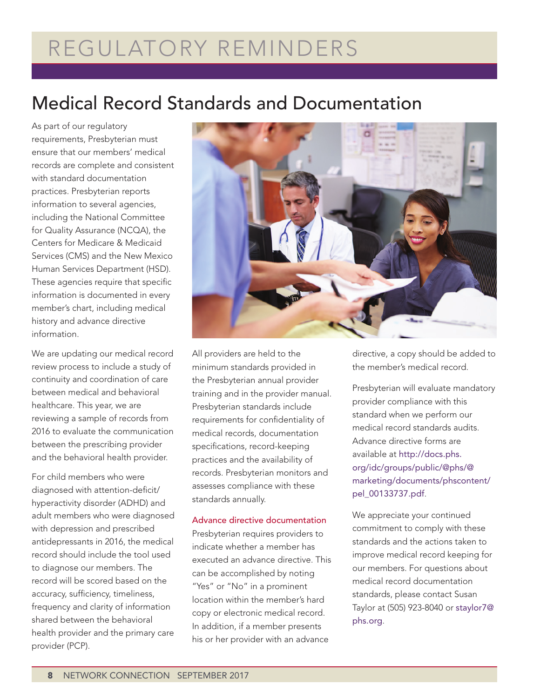# REGULATORY REMINDERS

## Medical Record Standards and Documentation

As part of our regulatory requirements, Presbyterian must ensure that our members' medical records are complete and consistent with standard documentation practices. Presbyterian reports information to several agencies, including the National Committee for Quality Assurance (NCQA), the Centers for Medicare & Medicaid Services (CMS) and the New Mexico Human Services Department (HSD). These agencies require that specific information is documented in every member's chart, including medical history and advance directive information.

We are updating our medical record review process to include a study of continuity and coordination of care between medical and behavioral healthcare. This year, we are reviewing a sample of records from 2016 to evaluate the communication between the prescribing provider and the behavioral health provider.

For child members who were diagnosed with attention-deficit/ hyperactivity disorder (ADHD) and adult members who were diagnosed with depression and prescribed antidepressants in 2016, the medical record should include the tool used to diagnose our members. The record will be scored based on the accuracy, sufficiency, timeliness, frequency and clarity of information shared between the behavioral health provider and the primary care provider (PCP).



All providers are held to the minimum standards provided in the Presbyterian annual provider training and in the provider manual. Presbyterian standards include requirements for confidentiality of medical records, documentation specifications, record-keeping practices and the availability of records. Presbyterian monitors and assesses compliance with these standards annually.

#### Advance directive documentation

Presbyterian requires providers to indicate whether a member has executed an advance directive. This can be accomplished by noting "Yes" or "No" in a prominent location within the member's hard copy or electronic medical record. In addition, if a member presents his or her provider with an advance

directive, a copy should be added to the member's medical record.

Presbyterian will evaluate mandatory provider compliance with this standard when we perform our medical record standards audits. Advance directive forms are available at http://docs.phs. org/idc/groups/public/@phs/@ marketing/documents/phscontent/ pel\_00133737.pdf.

We appreciate your continued commitment to comply with these standards and the actions taken to improve medical record keeping for our members. For questions about medical record documentation standards, please contact Susan Taylor at (505) 923-8040 or staylor7@ phs.org.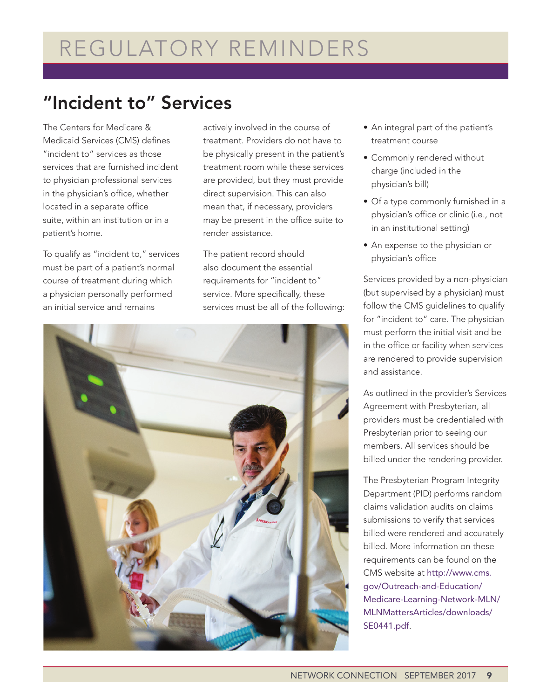## "Incident to" Services

The Centers for Medicare & Medicaid Services (CMS) defines "incident to" services as those services that are furnished incident to physician professional services in the physician's office, whether located in a separate office suite, within an institution or in a patient's home.

To qualify as "incident to," services must be part of a patient's normal course of treatment during which a physician personally performed an initial service and remains

actively involved in the course of treatment. Providers do not have to be physically present in the patient's treatment room while these services are provided, but they must provide direct supervision. This can also mean that, if necessary, providers may be present in the office suite to render assistance.

The patient record should also document the essential requirements for "incident to" service. More specifically, these services must be all of the following:



- An integral part of the patient's treatment course
- Commonly rendered without charge (included in the physician's bill)
- Of a type commonly furnished in a physician's office or clinic (i.e., not in an institutional setting)
- An expense to the physician or physician's office

Services provided by a non-physician (but supervised by a physician) must follow the CMS guidelines to qualify for "incident to" care. The physician must perform the initial visit and be in the office or facility when services are rendered to provide supervision and assistance.

As outlined in the provider's Services Agreement with Presbyterian, all providers must be credentialed with Presbyterian prior to seeing our members. All services should be billed under the rendering provider.

The Presbyterian Program Integrity Department (PID) performs random claims validation audits on claims submissions to verify that services billed were rendered and accurately billed. More information on these requirements can be found on the CMS website at http://www.cms. gov/Outreach-and-Education/ Medicare-Learning-Network-MLN/ MLNMattersArticles/downloads/ SE0441.pdf.